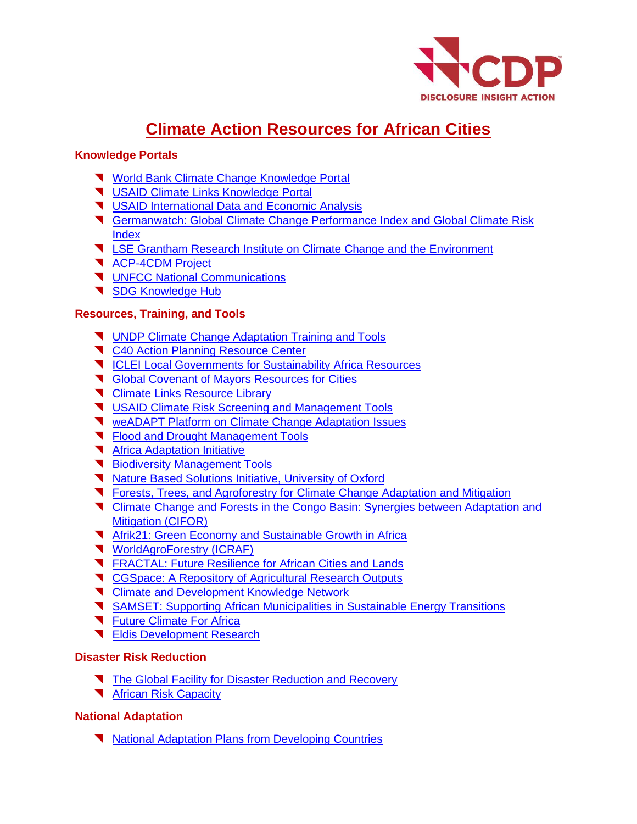

# **Climate Action Resources for African Cities**

#### **Knowledge Portals**

- **[World Bank Climate Change Knowledge Portal](https://climateknowledgeportal.worldbank.org/)**
- [USAID Climate Links Knowledge Portal](https://www.climatelinks.org/climate-risk-management/regional-country-risk-profiles)
- **V** [USAID International Data and Economic Analysis](https://idea.usaid.gov/cd/algeria/environment-and-global-climate-change)
- [Germanwatch: Global Climate Change Performance Index and Global Climate Risk](https://germanwatch.org/en/indices) **[Index](https://germanwatch.org/en/indices)**
- [LSE Grantham Research Institute on Climate Change and the Environment](http://www.lse.ac.uk/GranthamInstitute/)
- **[ACP-4CDM Project](http://www.acp-cd4cdm.org/publications.aspx)**
- **V** [UNFCC National Communications](https://unfccc.int/)
- [SDG Knowledge Hub](http://sdg.iisd.org/)

#### **Resources, Training, and Tools**

- **V** [UNDP Climate Change Adaptation Training and Tools](https://www.adaptation-undp.org/resource-finder?field_region_tid=&field_resource_type_tid=10&keys=)
- **T** [C40 Action Planning Resource Center](https://resourcecentre.c40.org/)
- **V** [ICLEI Local Governments for Sustainability Africa Resources](http://africa.iclei.org/cn/resources.html)
- **T** [Global Covenant of Mayors Resources for Cities](https://www.globalcovenantofmayors.org/our-initiatives/data4cities/resources/)
- **T** [Climate Links Resource Library](https://www.climatelinks.org/resources)
- **V** [USAID Climate Risk Screening and Management Tools](https://www.climatelinks.org/resources/climate-risk-screening-management-tool)
- **T** [weADAPT Platform on Climate Change Adaptation Issues](https://www.weadapt.org/)
- **T** [Flood and Drought Management Tools](http://fdmt.iwlearn.org/)
- **T** [Africa Adaptation Initiative](https://africaadaptationinitiative.org/)
- [Biodiversity Management](http://arcosnetwork.org/en/project/biodiversity-informatics-led-solutions-for-sustainable-natural-resource-management-bs4nr) Tools
- **[Nature Based Solutions Initiative, University of Oxford](https://www.naturebasedsolutionsinitiative.org/)**
- [Forests, Trees, and Agroforestry for Climate Change Adaptation and Mitigation](http://www.foreststreesagroforestry.org/climate-change-mitigation-and-adaptation-opportunities-in-forests-trees-and-agroforestry/)
- **T** [Climate Change and Forests in the Congo Basin: Synergies between Adaptation and](https://www.cifor.org/cobam/) [Mitigation \(CIFOR\)](https://www.cifor.org/cobam/)
- [Afrik21: Green Economy and Sustainable Growth in Africa](https://www.afrik21.africa/en/)
- **[WorldAgroForestry \(ICRAF\)](http://www.worldagroforestry.org/)**
- **T** [FRACTAL: Future Resilience for African Cities and Lands](http://www.fractal.org.za/)
- **T** [CGSpace: A Repository of Agricultural Research Outputs](https://cgspace.cgiar.org/)
- **T** [Climate and Development Knowledge Network](https://cdkn.org/?loclang=en_gb)
- [SAMSET: Supporting African Municipalities in Sustainable Energy Transitions](http://samsetproject.net/)
- **T** [Future Climate For Africa](https://futureclimateafrica.org/)
- **T** [Eldis Development Research](https://www.eldis.org/search?theme=C308)

# **Disaster Risk Reduction**

- [The Global Facility for Disaster Reduction and Recovery](https://www.gfdrr.org/en/who-we-are)
- **K** [African Risk Capacity](https://www.africanriskcapacity.org/)

# **National Adaptation**

**[National Adaptation Plans from Developing Countries](https://www4.unfccc.int/sites/NAPC/News/Pages/national_adaptation_plans.aspx)**